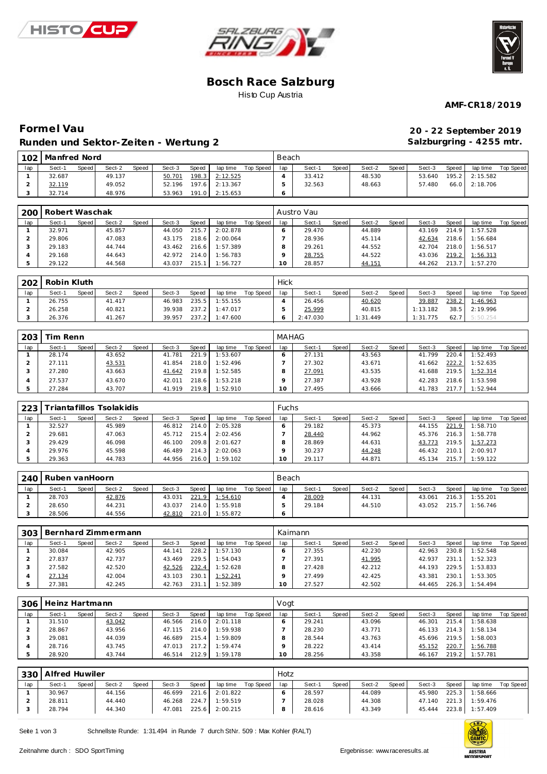





#### **Bosch Race Salzburg** Histo Cup Austria

**AMF-CR18/2019**

## **Forme l Vau 20 - 22 September 2019 Runden und Sektor-Ze iten - Wertung 2**

**Salzburgring - 4255 mtr.**

| 102 | Manfred Nord |       |        |       |        |       |          |           | Beach |        |       |        |       |        |       |                |           |
|-----|--------------|-------|--------|-------|--------|-------|----------|-----------|-------|--------|-------|--------|-------|--------|-------|----------------|-----------|
| lap | Sect-1       | Speed | Sect-2 | Speed | Sect-3 | Speed | lap time | Top Speed | lap   | Sect-1 | Speed | Sect-2 | Speed | Sect-3 | Speed | lap time       | Top Speed |
|     | 32.687       |       | 49.137 |       | 50.701 | 198.3 | 2:12.525 |           |       | 33.412 |       | 48.530 |       | 53.640 |       | 195.2 2:15.582 |           |
|     | 32.119       |       | 49.052 |       | 52.196 | 197.6 | 2:13.367 |           |       | 32.563 |       | 48.663 |       | 57.480 |       | 66.0 2:18.706  |           |
|     | 32.714       |       | 48.976 |       | 53.963 | 191.0 | 2:15.653 |           |       |        |       |        |       |        |       |                |           |

|     | 200   Robert Waschak |       |        |       |        |       |          |           |     | - Austro Vau |       |        |       |        |       |          |           |
|-----|----------------------|-------|--------|-------|--------|-------|----------|-----------|-----|--------------|-------|--------|-------|--------|-------|----------|-----------|
| lap | Sect-1               | Speed | Sect-2 | Speed | Sect-3 | Speed | lap time | Top Speed | lap | Sect-1       | Speed | Sect-2 | Speed | Sect-3 | Speed | lap time | Top Speed |
|     | 32.971               |       | 45.857 |       | 44.050 | 215.7 | 2:02.878 |           |     | 29.470       |       | 44.889 |       | 43.169 | 214.9 | 1:57.528 |           |
|     | 29.806               |       | 47.083 |       | 43.175 | 218.6 | 2:00.064 |           |     | 28.936       |       | 45.114 |       | 42.634 | 218.6 | 1:56.684 |           |
|     | 29.183               |       | 44.744 |       | 43.462 | 216.6 | 1:57.389 |           |     | 29.261       |       | 44.552 |       | 42.704 | 218.0 | 1:56.517 |           |
|     | 29.168               |       | 44.643 |       | 42.972 | 214.0 | 1:56.783 |           |     | 28.755       |       | 44.522 |       | 43.036 | 219.2 | 1:56.313 |           |
|     | 29.122               |       | 44.568 |       | 43.037 | 215.1 | 1:56.727 |           |     | 28.857       |       | 44.151 |       | 44.262 | 213.7 | 1:57.270 |           |

| 202 | Robin Kluth |         |        |       |        |       |          |           | Hick |          |       |          |       |          |              |          |           |
|-----|-------------|---------|--------|-------|--------|-------|----------|-----------|------|----------|-------|----------|-------|----------|--------------|----------|-----------|
| lap | Sect-1      | Speed I | Sect-2 | Speed | Sect-3 | Speed | lap time | Top Speed | lap  | Sect-1   | Speed | Sect-2   | Speed | Sect-3   | <b>Speed</b> | lap time | Top Speed |
|     | 26.755      |         | 41.417 |       | 46.983 | 235.5 | 1:55.155 |           |      | 26.456   |       | 40.620   |       | 39.887   | 238.2        | 1:46.963 |           |
|     | 26.258      |         | 40.821 |       | 39.938 | 237.2 | 1:47.017 |           |      | 25.999   |       | 40.815   |       | 1:13.182 | 38.5         | 2:19.996 |           |
|     | 26.376      |         | 41.267 |       | 39.957 | 237.2 | 1:47.600 |           |      | 2:47.030 |       | 1:31.449 |       | 1:31.775 | 62.7         | 5:50.254 |           |

| 203 | Tim Renn |       |        |       |        |       |          |           | <b>MAHAG</b> |        |       |        |       |        |       |          |           |
|-----|----------|-------|--------|-------|--------|-------|----------|-----------|--------------|--------|-------|--------|-------|--------|-------|----------|-----------|
| lap | Sect-1   | Speed | Sect-2 | Speed | Sect-3 | Speed | lap time | Top Speed | lap          | Sect-1 | Speed | Sect-2 | Speed | Sect-3 | Speed | lap time | Top Speed |
|     | 28.174   |       | 43.652 |       | 41.781 | 221.9 | : 53.607 |           |              | 27.131 |       | 43.563 |       | 41.799 | 220.4 | : 52.493 |           |
|     | 27.111   |       | 43.531 |       | 41.854 | 218.0 | 1:52.496 |           |              | 27.302 |       | 43.671 |       | 41.662 | 222.2 | 1:52.635 |           |
|     | 27.280   |       | 43.663 |       | 41.642 | 219.8 | 1:52.585 |           |              | 27.091 |       | 43.535 |       | 41.688 | 219.5 | 1:52.314 |           |
|     | 27.537   |       | 43.670 |       | 42.011 | 218.6 | 1:53.218 |           |              | 27.387 |       | 43.928 |       | 42.283 | 218.6 | 1:53.598 |           |
|     | 27.284   |       | 43.707 |       | 41.919 | 219.8 | 1:52.910 |           |              | 27.495 |       | 43.666 |       | 41.783 | 217.7 | 1:52.944 |           |

| 223 |        |       | riantafillos Tsolakidis |       |        |       |          |           | <b>Fuchs</b> |        |       |        |       |        |       |          |           |
|-----|--------|-------|-------------------------|-------|--------|-------|----------|-----------|--------------|--------|-------|--------|-------|--------|-------|----------|-----------|
| lap | Sect-1 | Speed | Sect-2                  | Speed | Sect-3 | Speed | lap time | Top Speed | lap          | Sect-1 | Speed | Sect-2 | Speed | Sect-3 | Speed | lap time | Top Speed |
|     | 32.527 |       | 45.989                  |       | 46.812 | 214.0 | 2:05.328 |           |              | 29.182 |       | 45.373 |       | 44.155 | 221.9 | 1:58.710 |           |
|     | 29.681 |       | 47.063                  |       | 45.712 | 215.4 | 2:02.456 |           |              | 28.440 |       | 44.962 |       | 45.376 | 216.3 | 1:58.778 |           |
|     | 29.429 |       | 46.098                  |       | 46.100 | 209.8 | 2:01.627 |           |              | 28.869 |       | 44.631 |       | 43.773 | 219.5 | 1:57.273 |           |
|     | 29.976 |       | 45.598                  |       | 46.489 | 214.3 | 2:02.063 |           |              | 30.237 |       | 44.248 |       | 46.432 | 210.1 | 2:00.917 |           |
|     | 29.363 |       | 44.783                  |       | 44.956 | 216.0 | 1:59.102 |           | O            | 29.117 |       | 44.871 |       | 45.134 | 215.7 | 1:59.122 |           |

| 240 | Ruben vanHoorn |         |        |              |        |       |          |           | Beach |        |       |        |       |        |       |          |           |
|-----|----------------|---------|--------|--------------|--------|-------|----------|-----------|-------|--------|-------|--------|-------|--------|-------|----------|-----------|
| lap | Sect-1         | Speed i | Sect-2 | <b>Speed</b> | Sect-3 | Speed | lap time | Top Speed | lap   | Sect-1 | Speed | Sect-2 | Speed | Sect-3 | Speed | lap time | Top Speed |
|     | 28.703         |         | 42.876 |              | 43.031 | 221.9 | 1:54.610 |           |       | 28.009 |       | 44.131 |       | 43.061 | 216.3 | 1:55.201 |           |
|     | 28.650         |         | 44.231 |              | 43.037 | 214.0 | 1:55.918 |           |       | 29.184 |       | 44.510 |       | 43.052 | 215.7 | 1:56.746 |           |
|     | 28.506         |         | 44.556 |              | 42.810 | 221.0 | 1:55.872 |           |       |        |       |        |       |        |       |          |           |

|     | 303   Bernhard Zimmermann |       |        |       |        |       |          |           |     | Kaimann |       |        |       |        |       |          |           |
|-----|---------------------------|-------|--------|-------|--------|-------|----------|-----------|-----|---------|-------|--------|-------|--------|-------|----------|-----------|
| lap | Sect-1                    | Speed | Sect-2 | Speed | Sect-3 | Speed | lap time | Top Speed | lap | Sect-1  | Speed | Sect-2 | Speed | Sect-3 | Speed | lap time | Top Speed |
|     | 30.084                    |       | 42.905 |       | 44.141 | 228.2 | 1:57.130 |           |     | 27.355  |       | 42.230 |       | 42.963 | 230.8 | 1:52.548 |           |
|     | 27.837                    |       | 42.737 |       | 43.469 | 229.5 | 1:54.043 |           |     | 27.391  |       | 41.995 |       | 42.937 | 231.  | 1:52.323 |           |
|     | 27.582                    |       | 42.520 |       | 42.526 | 232.4 | 1:52.628 |           |     | 27.428  |       | 42.212 |       | 44.193 | 229.5 | 1:53.833 |           |
|     | 27.134                    |       | 42.004 |       | 43.103 | 230.  | 1:52.241 |           |     | 27.499  |       | 42.425 |       | 43.381 | 230.1 | 1:53.305 |           |
|     | 27.381                    |       | 42.245 |       | 42.763 | 231.  | 1:52.389 |           |     | 27.527  |       | 42.502 |       | 44.465 | 226.3 | 1:54.494 |           |

| 306 | Heinz Hartmann |       |        |       |        |       |          |           | Vogt |        |       |        |       |        |       |          |           |
|-----|----------------|-------|--------|-------|--------|-------|----------|-----------|------|--------|-------|--------|-------|--------|-------|----------|-----------|
| lap | Sect-1         | Speed | Sect-2 | Speed | Sect-3 | Speed | lap time | Top Speed | lap  | Sect-1 | Speed | Sect-2 | Speed | Sect-3 | Speed | lap time | Top Speed |
|     | 31.510         |       | 43.042 |       | 46.566 | 216.0 | 2:01.118 |           |      | 29.241 |       | 43.096 |       | 46.301 | 215.4 | :58.638  |           |
|     | 28.867         |       | 43.956 |       | 47.115 | 214.0 | 1:59.938 |           |      | 28.230 |       | 43.771 |       | 46.133 | 214.3 | 1:58.134 |           |
|     | 29.081         |       | 44.039 |       | 46.689 | 215.4 | 1:59.809 |           |      | 28.544 |       | 43.763 |       | 45.696 | 219.5 | 1:58.003 |           |
|     | 28.716         |       | 43.745 |       | 47.013 | 217.2 | 1:59.474 |           |      | 28.222 |       | 43.414 |       | 45.152 | 220.7 | 1:56.788 |           |
|     | 28.920         |       | 43.744 |       | 46.514 | 212.9 | 1:59.178 |           | 0    | 28.256 |       | 43.358 |       | 46.167 | 219.2 | 1:57.781 |           |

|     | 330 Alfred Huwiler |       |        |              |        |       |          |           | Hotz |        |              |        |       |        |                        |                |           |
|-----|--------------------|-------|--------|--------------|--------|-------|----------|-----------|------|--------|--------------|--------|-------|--------|------------------------|----------------|-----------|
| lap | Sect-1             | Speed | Sect-2 | <b>Speed</b> | Sect-3 | Speed | lap time | Top Speed | lap  | Sect-1 | <b>Speed</b> | Sect-2 | Speed | Sect-3 | Speed                  | lap time       | Top Speed |
|     | 30.967             |       | 44.156 |              | 46.699 | 221.6 | 2:01.822 |           |      | 28.597 |              | 44.089 |       | 45.980 | 225.3                  | 1:58.666       |           |
|     | 28.811             |       | 44.440 |              | 46.268 | 224.7 | 1:59.519 |           |      | 28.028 |              | 44.308 |       | 47.140 | $221.3$ $\blacksquare$ | 1:59.476       |           |
|     | 28.794             |       | 44.340 |              | 47.081 | 225.6 | 2:00.215 |           |      | 28.616 |              | 43.349 |       | 45.444 |                        | 223.8 1:57.409 |           |

Seite 1 von 3 Schnellste Runde: 1:31.494 in Runde 7 durch StNr. 509 : Max Kohler (RALT)

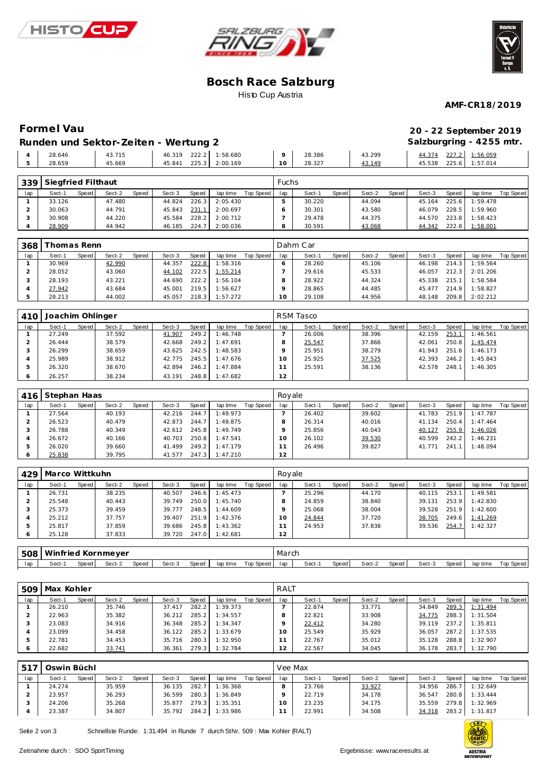





## **Bosch Race Salzburg** Histo Cup Austria

**AMF-CR18/2019**

# **Formel Vau**<br>**Pundan und Salten Zaiten 2019**

| 20 - 22 September 2019   |  |
|--------------------------|--|
| Salzburgring - 4255 mtr. |  |

|       |        | Runden und Sektor-Zeiten - Wertung 2 |  |                       |                |        |        | Salzburgring - 4255 |                       |
|-------|--------|--------------------------------------|--|-----------------------|----------------|--------|--------|---------------------|-----------------------|
|       | 28.646 | 43.715                               |  | 46.319 222.2 1:58.680 | Q <sub>1</sub> | 28.386 | 43.299 |                     | 44.374 227.2 1:56.059 |
| $-51$ | 28.659 | 45.669                               |  | 45.841 225.3 2:00.169 | $10-1$         | 28.327 | 43.149 |                     | 45.538 225.6 1:57.014 |

| 339 | Siegfried Filthaut |       |        |              |        |       |          |           | Fuchs |        |       |        |       |        |       |          |                  |
|-----|--------------------|-------|--------|--------------|--------|-------|----------|-----------|-------|--------|-------|--------|-------|--------|-------|----------|------------------|
| lap | Sect-1             | Speed | Sect-2 | <b>Speed</b> | Sect-3 | Speed | lap time | Top Speed | lap   | Sect-1 | Speed | Sect-2 | Speed | Sect-3 | Speed | lap time | <b>Top Speed</b> |
|     | 33.126             |       | 47.480 |              | 44.824 | 226.3 | 2:05.430 |           |       | 30.220 |       | 44.094 |       | 45.164 | 225.6 | 1:59.478 |                  |
|     | 30.063             |       | 44.791 |              | 45.843 | 231.1 | 2:00.697 |           |       | 30.301 |       | 43.580 |       | 46.079 | 228.5 | 1:59.960 |                  |
|     | 30.908             |       | 44.220 |              | 45.584 | 228.2 | 2:00.712 |           |       | 29.478 |       | 44.375 |       | 44.570 | 223.8 | 1:58.423 |                  |
|     | 28.909             |       | 44.942 |              | 46.185 | 224.7 | 2:00.036 |           |       | 30.591 |       | 43.068 |       | 44.342 | 222.8 | 1:58.001 |                  |

| 368 | Thomas Renn |       |        |              |        |       |          |           |     | Dahm Car |       |        |       |        |       |          |           |
|-----|-------------|-------|--------|--------------|--------|-------|----------|-----------|-----|----------|-------|--------|-------|--------|-------|----------|-----------|
| lap | Sect-1      | Speed | Sect-2 | <b>Speed</b> | Sect-3 | Speed | lap time | Top Speed | lap | Sect-1   | Speed | Sect-2 | Speed | Sect-3 | Speed | lap time | Top Speed |
|     | 30.969      |       | 42.990 |              | 44.357 | 222.8 | 1:58.316 |           |     | 28.260   |       | 45.106 |       | 46.198 | 214.3 | 1:59.564 |           |
|     | 28.052      |       | 43.060 |              | 44.102 | 222.5 | 1:55.214 |           |     | 29.616   |       | 45.533 |       | 46.057 | 212.3 | 2:01.206 |           |
|     | 28.193      |       | 43.221 |              | 44.690 | 222.2 | 1:56.104 |           |     | 28.922   |       | 44.324 |       | 45.338 | 215.1 | 1:58.584 |           |
|     | 27.942      |       | 43.684 |              | 45.001 | 219.5 | 1:56.627 |           |     | 28.865   |       | 44.485 |       | 45.477 | 214.9 | 1:58.827 |           |
|     | 28.213      |       | 44.002 |              | 45.057 | 218.3 | 1:57.272 |           |     | 29.108   |       | 44.956 |       | 48.148 | 209.8 | 2:02.212 |           |

| 410 | Joachim Ohlinger |       |        |       |        |       |          |           |     | RSM Tasco |       |        |       |        |       |          |           |
|-----|------------------|-------|--------|-------|--------|-------|----------|-----------|-----|-----------|-------|--------|-------|--------|-------|----------|-----------|
| lap | Sect-1           | Speed | Sect-2 | Speed | Sect-3 | Speed | lap time | Top Speed | lap | Sect-1    | Speed | Sect-2 | Speed | Sect-3 | Speed | lap time | Top Speed |
|     | 27.249           |       | 37.592 |       | 41.907 | 249.2 | 1:46.748 |           |     | 26.006    |       | 38.396 |       | 42.159 | 253.1 | 1:46.561 |           |
|     | 26.444           |       | 38.579 |       | 42.668 | 249.2 | 1:47.691 |           |     | 25.547    |       | 37.866 |       | 42.061 | 250.8 | 1:45.474 |           |
|     | 26.299           |       | 38.659 |       | 43.625 | 242.5 | 1:48.583 |           |     | 25.951    |       | 38.279 |       | 41.943 | 251.6 | 1:46.173 |           |
|     | 25.989           |       | 38.912 |       | 42.775 | 245.5 | 1:47.676 |           |     | 25.925    |       | 37.525 |       | 42.393 | 246.2 | 1:45.843 |           |
|     | 26.320           |       | 38.670 |       | 42.894 | 246.2 | 1:47.884 |           |     | 25.591    |       | 38.136 |       | 42.578 | 248.1 | 1:46.305 |           |
| Ô   | 26.257           |       | 38.234 |       | 43.191 | 248.8 | 1:47.682 |           | 12  |           |       |        |       |        |       |          |           |

| 416     | Stephan Haas |       |        |       |        |       |          |           | Rovale |        |       |        |       |        |       |          |           |
|---------|--------------|-------|--------|-------|--------|-------|----------|-----------|--------|--------|-------|--------|-------|--------|-------|----------|-----------|
| lap     | Sect-1       | Speed | Sect-2 | Speed | Sect-3 | Speed | lap time | Top Speed | lap    | Sect-1 | Speed | Sect-2 | Speed | Sect-3 | Speed | lap time | Top Speed |
|         | 27.564       |       | 40.193 |       | 42.216 | 244.7 | 1:49.973 |           |        | 26.402 |       | 39.602 |       | 41.783 | 251.9 | 1:47.787 |           |
|         | 26.523       |       | 40.479 |       | 42.873 | 244.7 | 1:49.875 |           |        | 26.314 |       | 40.016 |       | 41.134 | 250.4 | 1:47.464 |           |
|         | 26.788       |       | 40.349 |       | 42.612 | 245.8 | 1:49.749 |           |        | 25.856 |       | 40.043 |       | 40.127 | 255.9 | 1:46.026 |           |
|         | 26.672       |       | 40.166 |       | 40.703 | 250.8 | 1:47.541 |           | 10     | 26.102 |       | 39.530 |       | 40.599 | 242.2 | 1:46.231 |           |
|         | 26.020       |       | 39.660 |       | 41.499 | 249.2 | 1:47.179 |           |        | 26.496 |       | 39.827 |       | 41.771 | 241.7 | 1:48.094 |           |
| $\circ$ | 25.838       |       | 39.795 |       | 41.577 | 247.3 | 1:47.210 |           | 12     |        |       |        |       |        |       |          |           |

| 429 | Marco Wittkuhn |       |        |       |        |       |          |           | Royale |        |       |        |       |        |       |          |           |
|-----|----------------|-------|--------|-------|--------|-------|----------|-----------|--------|--------|-------|--------|-------|--------|-------|----------|-----------|
| lap | Sect-1         | Speed | Sect-2 | Speed | Sect-3 | Speed | lap time | Top Speed | lap    | Sect-1 | Speed | Sect-2 | Speed | Sect-3 | Speed | lap time | Top Speed |
|     | 26.731         |       | 38.235 |       | 40.507 | 246.6 | 1:45.473 |           |        | 25.296 |       | 44.170 |       | 40.115 | 253.1 | 1:49.581 |           |
|     | 25.548         |       | 40.443 |       | 39.749 | 250.0 | 1:45.740 |           |        | 24.859 |       | 38.840 |       | 39.131 | 253.9 | 1:42.830 |           |
|     | 25.373         |       | 39.459 |       | 39.777 | 248.5 | 1:44.609 |           |        | 25.068 |       | 38.004 |       | 39.528 | 251.9 | 1:42.600 |           |
|     | 25.212         |       | 37.757 |       | 39.407 | 251.9 | 1:42.376 |           |        | 24.844 |       | 37.720 |       | 38.705 | 249.6 | 1:41.269 |           |
|     | 25.817         |       | 37.859 |       | 39.686 | 245.8 | 1:43.362 |           |        | 24.953 |       | 37.838 |       | 39.536 | 254.7 | 1:42.327 |           |
|     | 25.128         |       | 37.833 |       | 39.720 | 247.0 | 1:42.681 |           | 12     |        |       |        |       |        |       |          |           |

|     | 508   Winfried Kornmeyer                                                        |  |  |  |  |  |  |  | March |        |         |        |       |        |       |          |           |
|-----|---------------------------------------------------------------------------------|--|--|--|--|--|--|--|-------|--------|---------|--------|-------|--------|-------|----------|-----------|
| lap | Top Speed<br>Sect-3<br>Sect-2<br>Speed<br>Sect-<br>Speed I<br>Speed<br>lap time |  |  |  |  |  |  |  | lap   | Sect-1 | Speed I | Sect-2 | Speed | Sect-3 | Speed | lap time | Top Speed |

| 509 | Max Kohler |       |        |       |        |       |          |           | RALT |        |       |        |       |        |       |          |           |
|-----|------------|-------|--------|-------|--------|-------|----------|-----------|------|--------|-------|--------|-------|--------|-------|----------|-----------|
| lap | Sect-1     | Speed | Sect-2 | Speed | Sect-3 | Speed | lap time | Top Speed | lap  | Sect-1 | Speed | Sect-2 | Speed | Sect-3 | Speed | lap time | Top Speed |
|     | 26.210     |       | 35.746 |       | 37.417 | 282.2 | 1:39.373 |           |      | 22.874 |       | 33.771 |       | 34.849 | 289.3 | 1:31.494 |           |
|     | 22.963     |       | 35.382 |       | 36.212 | 285.2 | 1:34.557 |           | 8    | 22.821 |       | 33.908 |       | 34.775 | 288.3 | 1:31.504 |           |
|     | 23.083     |       | 34.916 |       | 36.348 | 285.2 | 1:34.347 |           |      | 22.412 |       | 34.280 |       | 39.119 | 237.2 | 1:35.811 |           |
|     | 23.099     |       | 34.458 |       | 36.122 | 285.2 | 1:33.679 |           | 10   | 25.549 |       | 35.929 |       | 36.057 | 287.2 | 1:37.535 |           |
|     | 22.781     |       | 34.453 |       | 35.716 | 280.3 | 1:32.950 |           |      | 22.767 |       | 35.012 |       | 35.128 | 288.8 | 1:32.907 |           |
|     | 22.682     |       | 33.741 |       | 36.361 | 279.3 | 1:32.784 |           | 2    | 22.567 |       | 34.045 |       | 36.178 | 283.7 | 1:32.790 |           |

| $-517$ | Oswin Büchl |       |        |       |        |       |          |           | Vee Max |        |       |        |       |        |       |          |                  |
|--------|-------------|-------|--------|-------|--------|-------|----------|-----------|---------|--------|-------|--------|-------|--------|-------|----------|------------------|
| lap    | Sect-1      | Speed | Sect-2 | Speed | Sect-3 | Speed | lap time | Top Speed | lap     | Sect-1 | Speed | Sect-2 | Speed | Sect-3 | Speed | lap time | <b>Top Speed</b> |
|        | 24.274      |       | 35.959 |       | 36.135 | 282.7 | 1:36.368 |           |         | 23.766 |       | 33.927 |       | 34.956 | 286.  | 1:32.649 |                  |
|        | 23.957      |       | 36.293 |       | 36.599 | 280.3 | 1:36.849 |           |         | 22.719 |       | 34.178 |       | 36.547 | 280.8 | 1:33.444 |                  |
|        | 24.206      |       | 35.268 |       | 35.877 | 279.3 | 1:35.351 |           | 10      | 23.235 |       | 34.175 |       | 35.559 | 279.8 | 1:32.969 |                  |
|        | 23.387      |       | 34.807 |       | 35.792 | 284.2 | 1:33.986 |           |         | 22.991 |       | 34.508 |       | 34.318 | 283.2 | 1:31.817 |                  |

Seite 2 von 3 Schnellste Runde: 1:31.494 in Runde 7 durch StNr. 509 : Max Kohler (RALT)